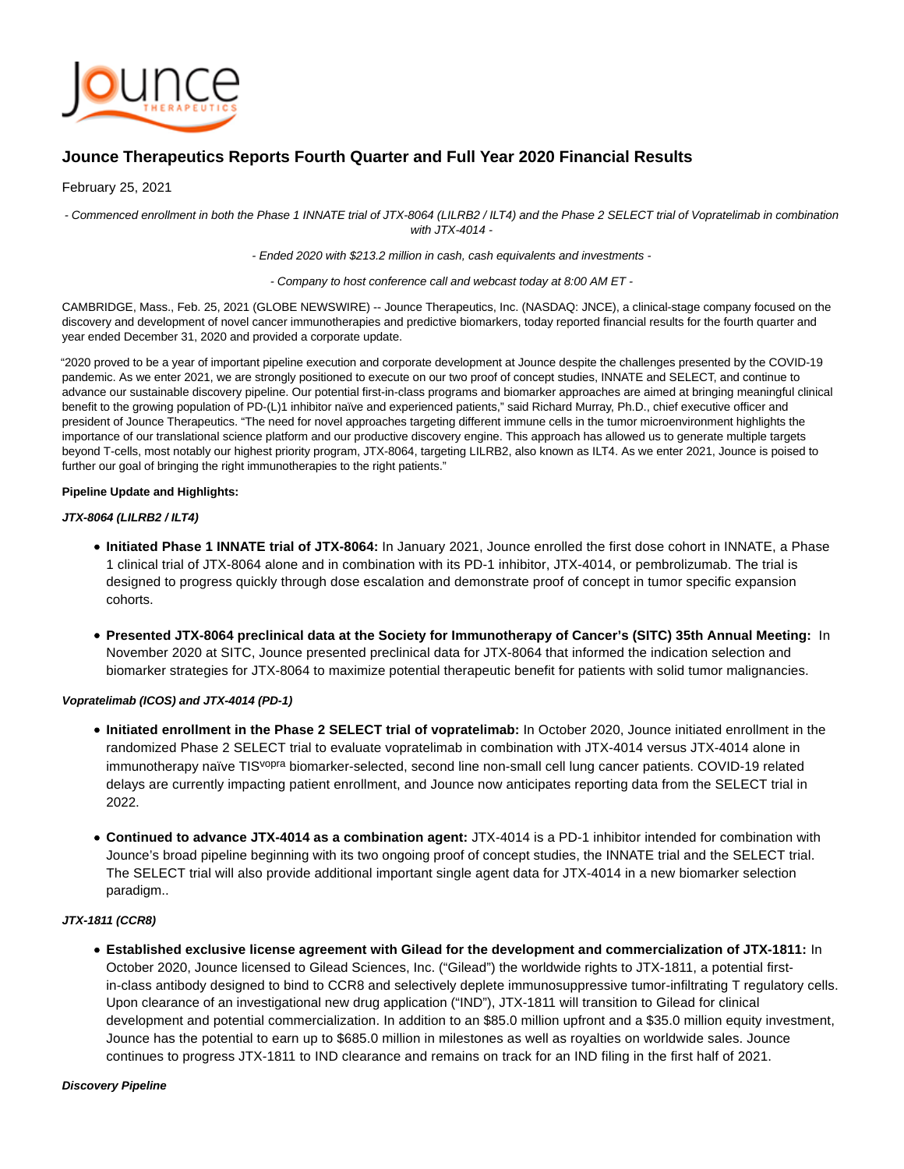

# **Jounce Therapeutics Reports Fourth Quarter and Full Year 2020 Financial Results**

February 25, 2021

- Commenced enrollment in both the Phase 1 INNATE trial of JTX-8064 (LILRB2 / ILT4) and the Phase 2 SELECT trial of Vopratelimab in combination with JTX-4014 -

- Ended 2020 with \$213.2 million in cash, cash equivalents and investments -

- Company to host conference call and webcast today at 8:00 AM ET -

CAMBRIDGE, Mass., Feb. 25, 2021 (GLOBE NEWSWIRE) -- Jounce Therapeutics, Inc. (NASDAQ: JNCE), a clinical-stage company focused on the discovery and development of novel cancer immunotherapies and predictive biomarkers, today reported financial results for the fourth quarter and year ended December 31, 2020 and provided a corporate update.

"2020 proved to be a year of important pipeline execution and corporate development at Jounce despite the challenges presented by the COVID-19 pandemic. As we enter 2021, we are strongly positioned to execute on our two proof of concept studies, INNATE and SELECT, and continue to advance our sustainable discovery pipeline. Our potential first-in-class programs and biomarker approaches are aimed at bringing meaningful clinical benefit to the growing population of PD-(L)1 inhibitor naïve and experienced patients," said Richard Murray, Ph.D., chief executive officer and president of Jounce Therapeutics. "The need for novel approaches targeting different immune cells in the tumor microenvironment highlights the importance of our translational science platform and our productive discovery engine. This approach has allowed us to generate multiple targets beyond T-cells, most notably our highest priority program, JTX-8064, targeting LILRB2, also known as ILT4. As we enter 2021, Jounce is poised to further our goal of bringing the right immunotherapies to the right patients."

## **Pipeline Update and Highlights:**

## **JTX-8064 (LILRB2 / ILT4)**

- **Initiated Phase 1 INNATE trial of JTX-8064:** In January 2021, Jounce enrolled the first dose cohort in INNATE, a Phase 1 clinical trial of JTX-8064 alone and in combination with its PD-1 inhibitor, JTX-4014, or pembrolizumab. The trial is designed to progress quickly through dose escalation and demonstrate proof of concept in tumor specific expansion cohorts.
- **Presented JTX-8064 preclinical data at the Society for Immunotherapy of Cancer's (SITC) 35th Annual Meeting:** In November 2020 at SITC, Jounce presented preclinical data for JTX-8064 that informed the indication selection and biomarker strategies for JTX-8064 to maximize potential therapeutic benefit for patients with solid tumor malignancies.

# **Vopratelimab (ICOS) and JTX-4014 (PD-1)**

- **Initiated enrollment in the Phase 2 SELECT trial of vopratelimab:** In October 2020, Jounce initiated enrollment in the randomized Phase 2 SELECT trial to evaluate vopratelimab in combination with JTX-4014 versus JTX-4014 alone in immunotherapy naïve TIS<sup>vopra</sup> biomarker-selected, second line non-small cell lung cancer patients. COVID-19 related delays are currently impacting patient enrollment, and Jounce now anticipates reporting data from the SELECT trial in 2022.
- **Continued to advance JTX-4014 as a combination agent:** JTX-4014 is a PD-1 inhibitor intended for combination with Jounce's broad pipeline beginning with its two ongoing proof of concept studies, the INNATE trial and the SELECT trial. The SELECT trial will also provide additional important single agent data for JTX-4014 in a new biomarker selection paradigm..

# **JTX-1811 (CCR8)**

**Established exclusive license agreement with Gilead for the development and commercialization of JTX-1811:** In October 2020, Jounce licensed to Gilead Sciences, Inc. ("Gilead") the worldwide rights to JTX-1811, a potential firstin-class antibody designed to bind to CCR8 and selectively deplete immunosuppressive tumor-infiltrating T regulatory cells. Upon clearance of an investigational new drug application ("IND"), JTX-1811 will transition to Gilead for clinical development and potential commercialization. In addition to an \$85.0 million upfront and a \$35.0 million equity investment, Jounce has the potential to earn up to \$685.0 million in milestones as well as royalties on worldwide sales. Jounce continues to progress JTX-1811 to IND clearance and remains on track for an IND filing in the first half of 2021.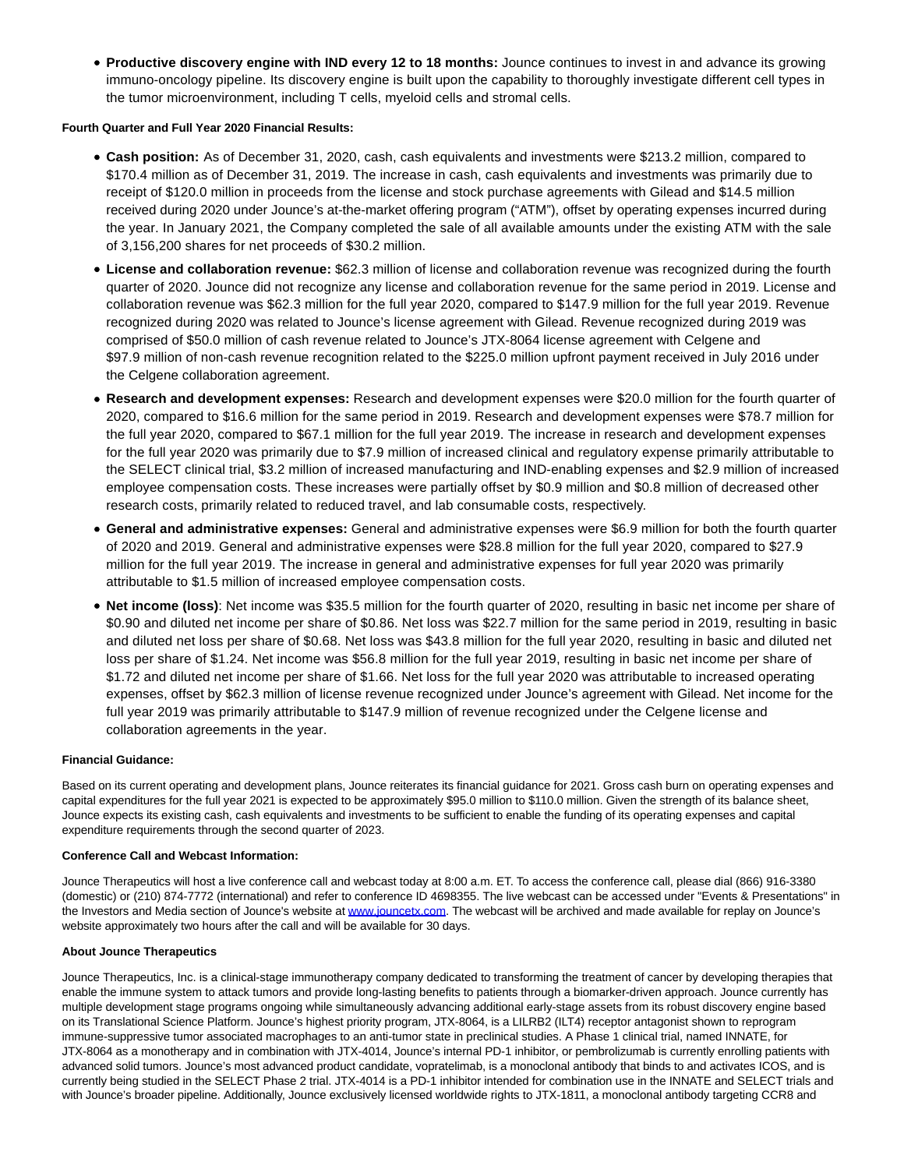**Productive discovery engine with IND every 12 to 18 months:** Jounce continues to invest in and advance its growing immuno-oncology pipeline. Its discovery engine is built upon the capability to thoroughly investigate different cell types in the tumor microenvironment, including T cells, myeloid cells and stromal cells.

## **Fourth Quarter and Full Year 2020 Financial Results:**

- **Cash position:** As of December 31, 2020, cash, cash equivalents and investments were \$213.2 million, compared to \$170.4 million as of December 31, 2019. The increase in cash, cash equivalents and investments was primarily due to receipt of \$120.0 million in proceeds from the license and stock purchase agreements with Gilead and \$14.5 million received during 2020 under Jounce's at-the-market offering program ("ATM"), offset by operating expenses incurred during the year. In January 2021, the Company completed the sale of all available amounts under the existing ATM with the sale of 3,156,200 shares for net proceeds of \$30.2 million.
- **License and collaboration revenue:** \$62.3 million of license and collaboration revenue was recognized during the fourth quarter of 2020. Jounce did not recognize any license and collaboration revenue for the same period in 2019. License and collaboration revenue was \$62.3 million for the full year 2020, compared to \$147.9 million for the full year 2019. Revenue recognized during 2020 was related to Jounce's license agreement with Gilead. Revenue recognized during 2019 was comprised of \$50.0 million of cash revenue related to Jounce's JTX-8064 license agreement with Celgene and \$97.9 million of non-cash revenue recognition related to the \$225.0 million upfront payment received in July 2016 under the Celgene collaboration agreement.
- **Research and development expenses:** Research and development expenses were \$20.0 million for the fourth quarter of 2020, compared to \$16.6 million for the same period in 2019. Research and development expenses were \$78.7 million for the full year 2020, compared to \$67.1 million for the full year 2019. The increase in research and development expenses for the full year 2020 was primarily due to \$7.9 million of increased clinical and regulatory expense primarily attributable to the SELECT clinical trial, \$3.2 million of increased manufacturing and IND-enabling expenses and \$2.9 million of increased employee compensation costs. These increases were partially offset by \$0.9 million and \$0.8 million of decreased other research costs, primarily related to reduced travel, and lab consumable costs, respectively.
- **General and administrative expenses:** General and administrative expenses were \$6.9 million for both the fourth quarter of 2020 and 2019. General and administrative expenses were \$28.8 million for the full year 2020, compared to \$27.9 million for the full year 2019. The increase in general and administrative expenses for full year 2020 was primarily attributable to \$1.5 million of increased employee compensation costs.
- **Net income (loss)**: Net income was \$35.5 million for the fourth quarter of 2020, resulting in basic net income per share of \$0.90 and diluted net income per share of \$0.86. Net loss was \$22.7 million for the same period in 2019, resulting in basic and diluted net loss per share of \$0.68. Net loss was \$43.8 million for the full year 2020, resulting in basic and diluted net loss per share of \$1.24. Net income was \$56.8 million for the full year 2019, resulting in basic net income per share of \$1.72 and diluted net income per share of \$1.66. Net loss for the full year 2020 was attributable to increased operating expenses, offset by \$62.3 million of license revenue recognized under Jounce's agreement with Gilead. Net income for the full year 2019 was primarily attributable to \$147.9 million of revenue recognized under the Celgene license and collaboration agreements in the year.

# **Financial Guidance:**

Based on its current operating and development plans, Jounce reiterates its financial guidance for 2021. Gross cash burn on operating expenses and capital expenditures for the full year 2021 is expected to be approximately \$95.0 million to \$110.0 million. Given the strength of its balance sheet, Jounce expects its existing cash, cash equivalents and investments to be sufficient to enable the funding of its operating expenses and capital expenditure requirements through the second quarter of 2023.

#### **Conference Call and Webcast Information:**

Jounce Therapeutics will host a live conference call and webcast today at 8:00 a.m. ET. To access the conference call, please dial (866) 916-3380 (domestic) or (210) 874-7772 (international) and refer to conference ID 4698355. The live webcast can be accessed under "Events & Presentations" in the Investors and Media section of Jounce's website at [www.jouncetx.com.](https://www.globenewswire.com/Tracker?data=OGt0BRQPn_H0_xjcViCJel3o01BRHPEnl6e8m4L70SJeNlBdY7DrlQ7gqoRt5xG3L9ePvQQFlfhYvS_97kPCfA==) The webcast will be archived and made available for replay on Jounce's website approximately two hours after the call and will be available for 30 days.

#### **About Jounce Therapeutics**

Jounce Therapeutics, Inc. is a clinical-stage immunotherapy company dedicated to transforming the treatment of cancer by developing therapies that enable the immune system to attack tumors and provide long-lasting benefits to patients through a biomarker-driven approach. Jounce currently has multiple development stage programs ongoing while simultaneously advancing additional early-stage assets from its robust discovery engine based on its Translational Science Platform. Jounce's highest priority program, JTX-8064, is a LILRB2 (ILT4) receptor antagonist shown to reprogram immune-suppressive tumor associated macrophages to an anti-tumor state in preclinical studies. A Phase 1 clinical trial, named INNATE, for JTX-8064 as a monotherapy and in combination with JTX-4014, Jounce's internal PD-1 inhibitor, or pembrolizumab is currently enrolling patients with advanced solid tumors. Jounce's most advanced product candidate, vopratelimab, is a monoclonal antibody that binds to and activates ICOS, and is currently being studied in the SELECT Phase 2 trial. JTX-4014 is a PD-1 inhibitor intended for combination use in the INNATE and SELECT trials and with Jounce's broader pipeline. Additionally, Jounce exclusively licensed worldwide rights to JTX-1811, a monoclonal antibody targeting CCR8 and